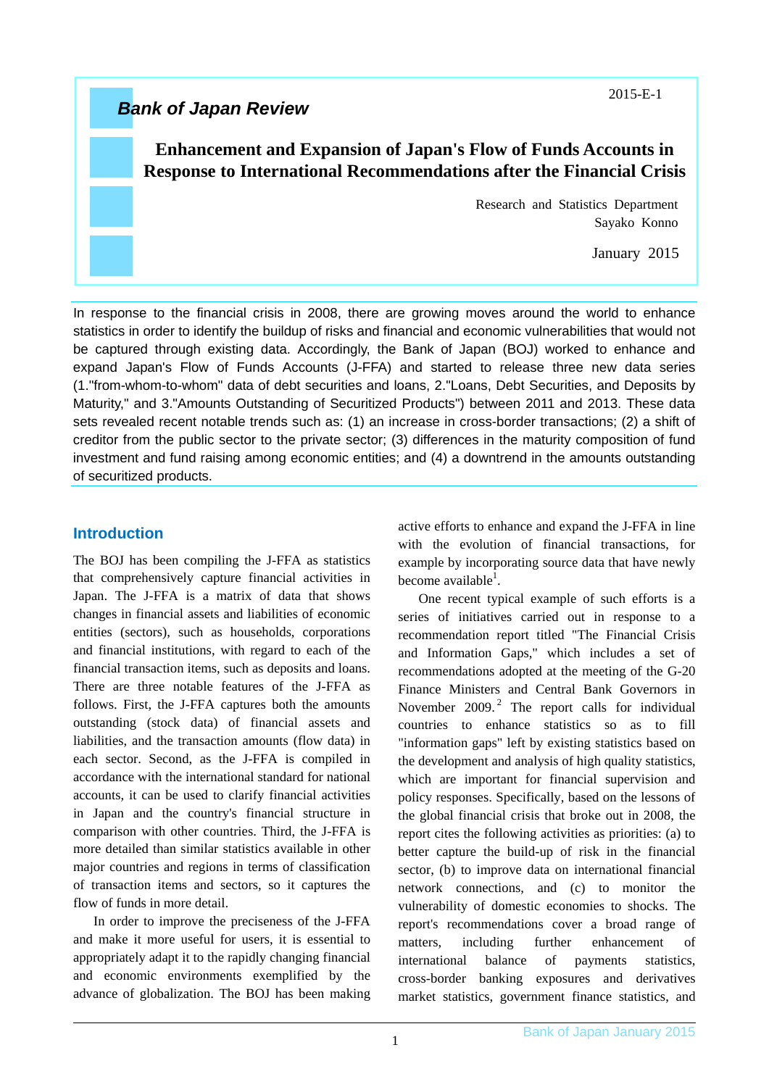*Bank of Japan Review* 

# **Enhancement and Expansion of Japan's Flow of Funds Accounts in Response to International Recommendations after the Financial Crisis**

Research and Statistics Department Sayako Konno

January 2015

In response to the financial crisis in 2008, there are growing moves around the world to enhance statistics in order to identify the buildup of risks and financial and economic vulnerabilities that would not be captured through existing data. Accordingly, the Bank of Japan (BOJ) worked to enhance and expand Japan's Flow of Funds Accounts (J-FFA) and started to release three new data series (1."from-whom-to-whom" data of debt securities and loans, 2."Loans, Debt Securities, and Deposits by Maturity," and 3."Amounts Outstanding of Securitized Products") between 2011 and 2013. These data sets revealed recent notable trends such as: (1) an increase in cross-border transactions; (2) a shift of creditor from the public sector to the private sector; (3) differences in the maturity composition of fund investment and fund raising among economic entities; and (4) a downtrend in the amounts outstanding of securitized products.

## **Introduction**

The BOJ has been compiling the J-FFA as statistics that comprehensively capture financial activities in Japan. The J-FFA is a matrix of data that shows changes in financial assets and liabilities of economic entities (sectors), such as households, corporations and financial institutions, with regard to each of the financial transaction items, such as deposits and loans. There are three notable features of the J-FFA as follows. First, the J-FFA captures both the amounts outstanding (stock data) of financial assets and liabilities, and the transaction amounts (flow data) in each sector. Second, as the J-FFA is compiled in accordance with the international standard for national accounts, it can be used to clarify financial activities in Japan and the country's financial structure in comparison with other countries. Third, the J-FFA is more detailed than similar statistics available in other major countries and regions in terms of classification of transaction items and sectors, so it captures the flow of funds in more detail.

In order to improve the preciseness of the J-FFA and make it more useful for users, it is essential to appropriately adapt it to the rapidly changing financial and economic environments exemplified by the advance of globalization. The BOJ has been making active efforts to enhance and expand the J-FFA in line with the evolution of financial transactions, for example by incorporating source data that have newly become available<sup>1</sup>.

One recent typical example of such efforts is a series of initiatives carried out in response to a recommendation report titled "The Financial Crisis and Information Gaps," which includes a set of recommendations adopted at the meeting of the G-20 Finance Ministers and Central Bank Governors in November  $2009.<sup>2</sup>$  The report calls for individual countries to enhance statistics so as to fill "information gaps" left by existing statistics based on the development and analysis of high quality statistics, which are important for financial supervision and policy responses. Specifically, based on the lessons of the global financial crisis that broke out in 2008, the report cites the following activities as priorities: (a) to better capture the build-up of risk in the financial sector, (b) to improve data on international financial network connections, and (c) to monitor the vulnerability of domestic economies to shocks. The report's recommendations cover a broad range of matters, including further enhancement of international balance of payments statistics, cross-border banking exposures and derivatives market statistics, government finance statistics, and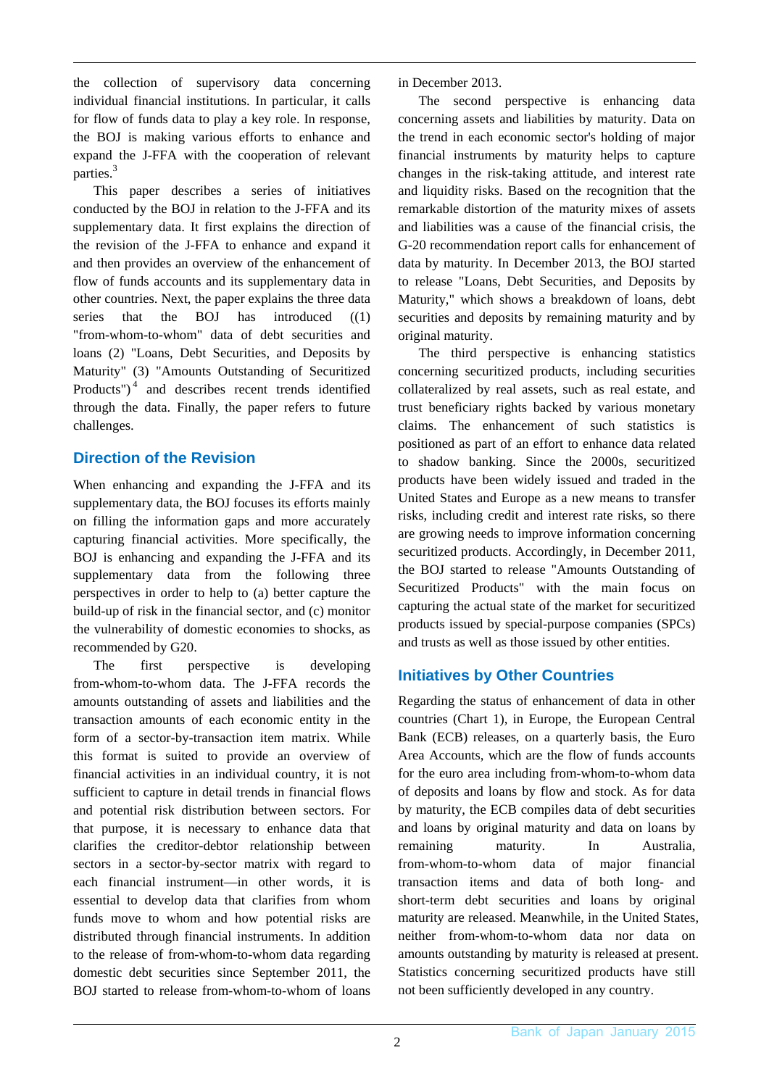the collection of supervisory data concerning individual financial institutions. In particular, it calls for flow of funds data to play a key role. In response, the BOJ is making various efforts to enhance and expand the J-FFA with the cooperation of relevant parties.<sup>3</sup>

This paper describes a series of initiatives conducted by the BOJ in relation to the J-FFA and its supplementary data. It first explains the direction of the revision of the J-FFA to enhance and expand it and then provides an overview of the enhancement of flow of funds accounts and its supplementary data in other countries. Next, the paper explains the three data series that the BOJ has introduced ((1) "from-whom-to-whom" data of debt securities and loans (2) "Loans, Debt Securities, and Deposits by Maturity" (3) "Amounts Outstanding of Securitized Products")<sup>4</sup> and describes recent trends identified through the data. Finally, the paper refers to future challenges.

## **Direction of the Revision**

When enhancing and expanding the J-FFA and its supplementary data, the BOJ focuses its efforts mainly on filling the information gaps and more accurately capturing financial activities. More specifically, the BOJ is enhancing and expanding the J-FFA and its supplementary data from the following three perspectives in order to help to (a) better capture the build-up of risk in the financial sector, and (c) monitor the vulnerability of domestic economies to shocks, as recommended by G20.

The first perspective is developing from-whom-to-whom data. The J-FFA records the amounts outstanding of assets and liabilities and the transaction amounts of each economic entity in the form of a sector-by-transaction item matrix. While this format is suited to provide an overview of financial activities in an individual country, it is not sufficient to capture in detail trends in financial flows and potential risk distribution between sectors. For that purpose, it is necessary to enhance data that clarifies the creditor-debtor relationship between sectors in a sector-by-sector matrix with regard to each financial instrument—in other words, it is essential to develop data that clarifies from whom funds move to whom and how potential risks are distributed through financial instruments. In addition to the release of from-whom-to-whom data regarding domestic debt securities since September 2011, the BOJ started to release from-whom-to-whom of loans in December 2013.

The second perspective is enhancing data concerning assets and liabilities by maturity. Data on the trend in each economic sector's holding of major financial instruments by maturity helps to capture changes in the risk-taking attitude, and interest rate and liquidity risks. Based on the recognition that the remarkable distortion of the maturity mixes of assets and liabilities was a cause of the financial crisis, the G-20 recommendation report calls for enhancement of data by maturity. In December 2013, the BOJ started to release "Loans, Debt Securities, and Deposits by Maturity," which shows a breakdown of loans, debt securities and deposits by remaining maturity and by original maturity.

The third perspective is enhancing statistics concerning securitized products, including securities collateralized by real assets, such as real estate, and trust beneficiary rights backed by various monetary claims. The enhancement of such statistics is positioned as part of an effort to enhance data related to shadow banking. Since the 2000s, securitized products have been widely issued and traded in the United States and Europe as a new means to transfer risks, including credit and interest rate risks, so there are growing needs to improve information concerning securitized products. Accordingly, in December 2011, the BOJ started to release "Amounts Outstanding of Securitized Products" with the main focus on capturing the actual state of the market for securitized products issued by special-purpose companies (SPCs) and trusts as well as those issued by other entities.

# **Initiatives by Other Countries**

Regarding the status of enhancement of data in other countries (Chart 1), in Europe, the European Central Bank (ECB) releases, on a quarterly basis, the Euro Area Accounts, which are the flow of funds accounts for the euro area including from-whom-to-whom data of deposits and loans by flow and stock. As for data by maturity, the ECB compiles data of debt securities and loans by original maturity and data on loans by remaining maturity. In Australia, from-whom-to-whom data of major financial transaction items and data of both long- and short-term debt securities and loans by original maturity are released. Meanwhile, in the United States, neither from-whom-to-whom data nor data on amounts outstanding by maturity is released at present. Statistics concerning securitized products have still not been sufficiently developed in any country.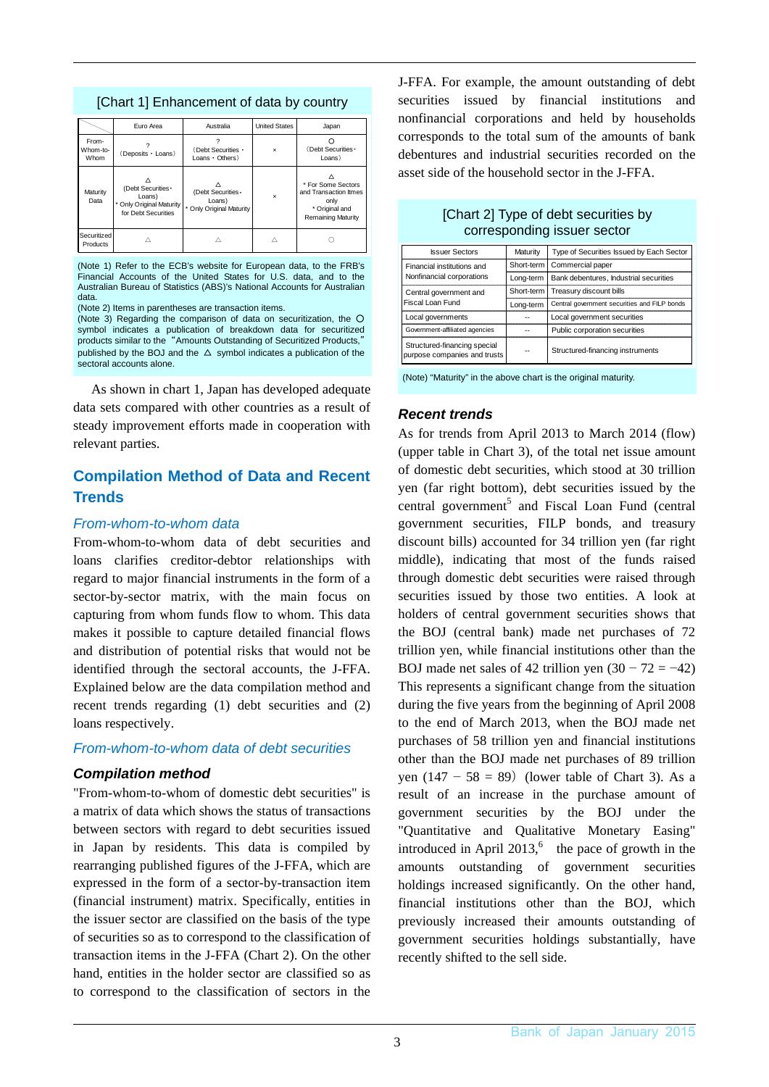|                           | Euro Area                                                                     | Australia                                                   | <b>United States</b>      | Japan                                                                                              |
|---------------------------|-------------------------------------------------------------------------------|-------------------------------------------------------------|---------------------------|----------------------------------------------------------------------------------------------------|
| From-<br>Whom-to-<br>Whom | (Deposits · Loans)                                                            | (Debt Securities ·<br>$Loans \cdot Others)$                 | $\times$                  | (Debt Securities ·<br>Loans)                                                                       |
| Maturity<br>Data          | (Debt Securities -<br>Loans)<br>Only Original Maturity<br>for Debt Securities | (Debt Securities ·<br>Loans)<br>٠<br>Only Original Maturity | $\boldsymbol{\mathsf{x}}$ | * For Some Sectors<br>and Transaction Itmes<br>only<br>* Original and<br><b>Remaining Maturity</b> |
| Securitized<br>Products   |                                                                               |                                                             |                           |                                                                                                    |

[Chart 1] Enhancement of data by country

(Note 1) Refer to the ECB's website for European data, to the FRB's Financial Accounts of the United States for U.S. data, and to the Australian Bureau of Statistics (ABS)'s National Accounts for Australian data.

(Note 2) Items in parentheses are transaction items.

(Note 3) Regarding the comparison of data on securitization, the O symbol indicates a publication of breakdown data for securitized products similar to the "Amounts Outstanding of Securitized Products," published by the BOJ and the  $\Delta$  symbol indicates a publication of the sectoral accounts alone.

As shown in chart 1, Japan has developed adequate data sets compared with other countries as a result of steady improvement efforts made in cooperation with relevant parties.

# **Compilation Method of Data and Recent Trends**

### *From-whom-to-whom data*

From-whom-to-whom data of debt securities and loans clarifies creditor-debtor relationships with regard to major financial instruments in the form of a sector-by-sector matrix, with the main focus on capturing from whom funds flow to whom. This data makes it possible to capture detailed financial flows and distribution of potential risks that would not be identified through the sectoral accounts, the J-FFA. Explained below are the data compilation method and recent trends regarding (1) debt securities and (2) loans respectively.

### *From-whom-to-whom data of debt securities*

### *Compilation method*

"From-whom-to-whom of domestic debt securities" is a matrix of data which shows the status of transactions between sectors with regard to debt securities issued in Japan by residents. This data is compiled by rearranging published figures of the J-FFA, which are expressed in the form of a sector-by-transaction item (financial instrument) matrix. Specifically, entities in the issuer sector are classified on the basis of the type of securities so as to correspond to the classification of transaction items in the J-FFA (Chart 2). On the other hand, entities in the holder sector are classified so as to correspond to the classification of sectors in the

J-FFA. For example, the amount outstanding of debt securities issued by financial institutions and nonfinancial corporations and held by households corresponds to the total sum of the amounts of bank debentures and industrial securities recorded on the asset side of the household sector in the J-FFA.

| <b>Issuer Sectors</b>                                        | Maturity   | Type of Securities Issued by Each Sector     |  |  |
|--------------------------------------------------------------|------------|----------------------------------------------|--|--|
| Financial institutions and                                   | Short-term | Commercial paper                             |  |  |
| Nonfinancial corporations                                    | Long-term  | Bank debentures, Industrial securities       |  |  |
| Central government and                                       | Short-term | Treasury discount bills                      |  |  |
| Fiscal Loan Fund                                             | Long-term  | Central government securities and FILP bonds |  |  |
| Local governments                                            |            | Local government securities                  |  |  |
| Government-affiliated agencies                               |            | Public corporation securities                |  |  |
| Structured-financing special<br>purpose companies and trusts |            | Structured-financing instruments             |  |  |

[Chart 2] Type of debt securities by corresponding issuer sector

(Note) "Maturity" in the above chart is the original maturity.

### *Recent trends*

As for trends from April 2013 to March 2014 (flow) (upper table in Chart 3), of the total net issue amount of domestic debt securities, which stood at 30 trillion yen (far right bottom), debt securities issued by the central government<sup>5</sup> and Fiscal Loan Fund (central government securities, FILP bonds, and treasury discount bills) accounted for 34 trillion yen (far right middle), indicating that most of the funds raised through domestic debt securities were raised through securities issued by those two entities. A look at holders of central government securities shows that the BOJ (central bank) made net purchases of 72 trillion yen, while financial institutions other than the BOJ made net sales of 42 trillion yen  $(30 - 72 = -42)$ This represents a significant change from the situation during the five years from the beginning of April 2008 to the end of March 2013, when the BOJ made net purchases of 58 trillion yen and financial institutions other than the BOJ made net purchases of 89 trillion yen  $(147 - 58 = 89)$  (lower table of Chart 3). As a result of an increase in the purchase amount of government securities by the BOJ under the "Quantitative and Qualitative Monetary Easing" introduced in April 2013, $6$  the pace of growth in the amounts outstanding of government securities holdings increased significantly. On the other hand, financial institutions other than the BOJ, which previously increased their amounts outstanding of government securities holdings substantially, have recently shifted to the sell side.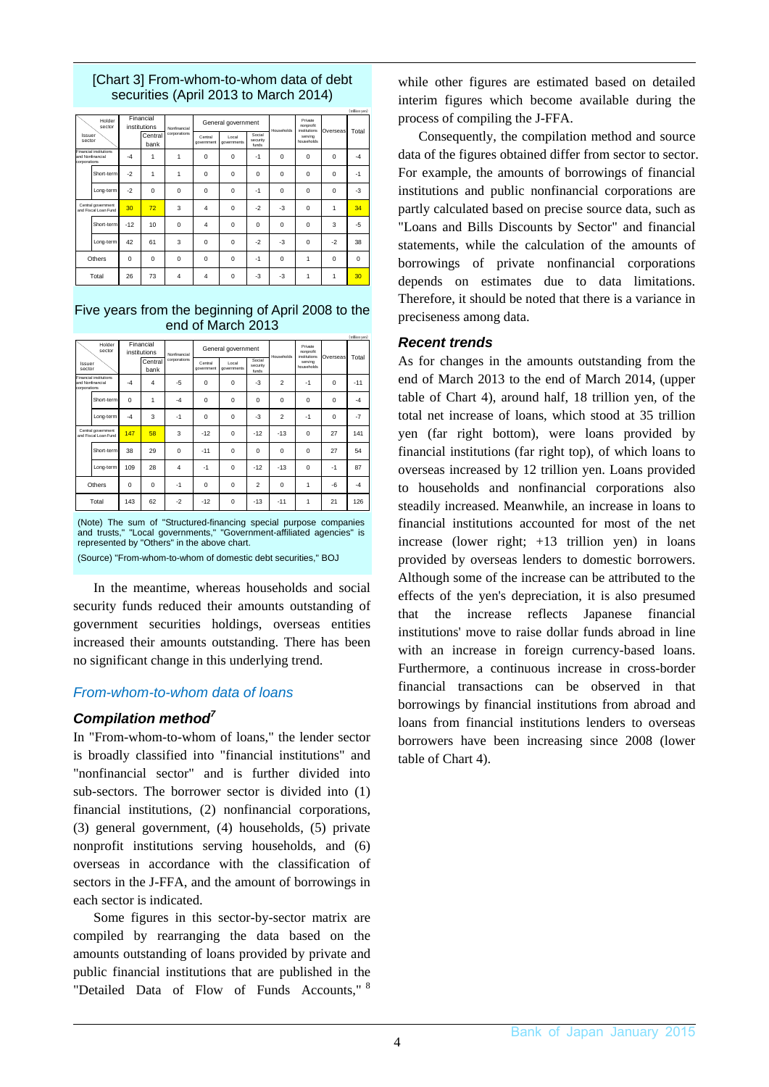### [Chart 3] From-whom-to-whom data of debt securities (April 2013 to March 2014)

|                  |                                            |       |                           |                |                       |                                                     |          |            |                                      |          | (trillion yen) |
|------------------|--------------------------------------------|-------|---------------------------|----------------|-----------------------|-----------------------------------------------------|----------|------------|--------------------------------------|----------|----------------|
|                  | Holder<br>sector                           |       | Financial<br>institutions | Nonfinancial   |                       | General government                                  |          | Households | Private<br>nonprofit<br>institutions | Overseas | Total          |
| Issuer<br>sector |                                            |       | Central<br>bank           | corporations   | Central<br>government | Social<br>Local<br>security<br>governments<br>funds |          |            | serving<br>households                |          |                |
| corporations     | Financial institutions<br>and Nonfinancial | $-4$  | 1                         | 1              | 0                     | $\mathbf 0$                                         | $-1$     | $\Omega$   | 0                                    | 0        | $-4$           |
|                  | Short-term                                 | $-2$  | 1                         | 1              | 0                     | $\mathbf 0$                                         | $\Omega$ | $\Omega$   | 0                                    | 0        | $-1$           |
|                  | Long-term                                  | $-2$  | $\Omega$                  | $\Omega$       | $\Omega$              | $\mathbf 0$                                         | $-1$     | $\Omega$   | $\Omega$                             | $\Omega$ | -3             |
|                  | Central government<br>and Fiscal Loan Fund | 30    | 72                        | 3              | $\overline{4}$        | $\mathbf 0$                                         | $-2$     | $-3$       | 0                                    | 1        | 34             |
|                  | Short-term                                 | $-12$ | 10                        | $\Omega$       | $\overline{4}$        | $\mathbf 0$                                         | $\Omega$ | $\Omega$   | 0                                    | 3        | $-5$           |
|                  | Long-term                                  | 42    | 61                        | 3              | $\Omega$              | $\mathbf 0$                                         | $-2$     | $-3$       | $\Omega$                             | $-2$     | 38             |
|                  | Others                                     | 0     | 0                         | $\Omega$       | $\Omega$              | $\mathbf 0$                                         | $-1$     | $\Omega$   | 1                                    | 0        | $\Omega$       |
|                  | Total                                      | 26    | 73                        | $\overline{4}$ | $\overline{4}$        | $\mathbf 0$                                         | $-3$     | $-3$       | 1                                    | 1        | 30             |

#### Five years from the beginning of April 2008 to the end of March 2013

|                  |                                                                          |             |                           |              |                       |                                                     |                |                |                                      |          | (trillion yen) |
|------------------|--------------------------------------------------------------------------|-------------|---------------------------|--------------|-----------------------|-----------------------------------------------------|----------------|----------------|--------------------------------------|----------|----------------|
|                  | Holder<br>sector                                                         |             | Financial<br>institutions | Nonfinancial |                       | General government                                  |                | Households     | Private<br>nonprofit<br>institutions | Overseas | Total          |
| Issuer<br>sector |                                                                          |             | Central<br>bank           | corporations | Central<br>government | Social<br>Local<br>security<br>governments<br>funds |                |                | serving<br>households                |          |                |
|                  | Financial institutions<br>and Nonfinancial<br>corporations<br>Short-term |             | 4                         | -5           | 0                     | $\mathbf 0$                                         | $-3$           | $\mathfrak{p}$ | $-1$                                 | $\Omega$ | $-11$          |
|                  |                                                                          | $\Omega$    | 1                         | $-4$         | $\Omega$              | $\mathbf 0$                                         | $\Omega$       | $\Omega$       | $\Omega$                             | $\Omega$ | $-4$           |
|                  | Long-term                                                                | $-4$        | 3                         | $-1$         | 0                     | $\Omega$                                            | $-3$           | $\mathfrak{p}$ | $-1$                                 | $\Omega$ | $-7$           |
|                  | Central government<br>and Fiscal Loan Fund                               |             | 58                        | 3            | $-12$                 | $\mathbf 0$                                         | $-12$          | $-13$          | $\Omega$                             | 27       | 141            |
|                  | Short-term                                                               | 38          | 29                        | $\Omega$     | $-11$                 | $\mathbf 0$                                         | $\Omega$       | $\Omega$       | $\Omega$                             | 27       | 54             |
|                  | Long-term                                                                | 109         | 28                        | 4            | $-1$                  | $\mathbf 0$                                         | $-12$          | $-13$          | 0                                    | $-1$     | 87             |
|                  | Others                                                                   | $\mathbf 0$ | $\Omega$                  | $-1$         | 0                     | $\mathbf 0$                                         | $\mathfrak{p}$ | $\Omega$       | 1                                    | -6       | $-4$           |
|                  | Total                                                                    | 143         | 62                        | $-2$         | $-12$                 | $\mathbf 0$                                         | $-13$          | $-11$          | 1                                    | 21       | 126            |

(Note) The sum of "Structured-financing special purpose companies and trusts," "Local governments," "Government-affiliated agencies" is represented by "Others" in the above chart.

(Source) "From-whom-to-whom of domestic debt securities," BOJ

In the meantime, whereas households and social security funds reduced their amounts outstanding of government securities holdings, overseas entities increased their amounts outstanding. There has been no significant change in this underlying trend.

### *From-whom-to-whom data of loans*

### *Compilation method7*

In "From-whom-to-whom of loans," the lender sector is broadly classified into "financial institutions" and "nonfinancial sector" and is further divided into sub-sectors. The borrower sector is divided into (1) financial institutions, (2) nonfinancial corporations, (3) general government, (4) households, (5) private nonprofit institutions serving households, and (6) overseas in accordance with the classification of sectors in the J-FFA, and the amount of borrowings in each sector is indicated.

Some figures in this sector-by-sector matrix are compiled by rearranging the data based on the amounts outstanding of loans provided by private and public financial institutions that are published in the "Detailed Data of Flow of Funds Accounts," 8 while other figures are estimated based on detailed interim figures which become available during the process of compiling the J-FFA.

Consequently, the compilation method and source data of the figures obtained differ from sector to sector. For example, the amounts of borrowings of financial institutions and public nonfinancial corporations are partly calculated based on precise source data, such as "Loans and Bills Discounts by Sector" and financial statements, while the calculation of the amounts of borrowings of private nonfinancial corporations depends on estimates due to data limitations. Therefore, it should be noted that there is a variance in preciseness among data.

### *Recent trends*

As for changes in the amounts outstanding from the end of March 2013 to the end of March 2014, (upper table of Chart 4), around half, 18 trillion yen, of the total net increase of loans, which stood at 35 trillion yen (far right bottom), were loans provided by financial institutions (far right top), of which loans to overseas increased by 12 trillion yen. Loans provided to households and nonfinancial corporations also steadily increased. Meanwhile, an increase in loans to financial institutions accounted for most of the net increase (lower right; +13 trillion yen) in loans provided by overseas lenders to domestic borrowers. Although some of the increase can be attributed to the effects of the yen's depreciation, it is also presumed that the increase reflects Japanese financial institutions' move to raise dollar funds abroad in line with an increase in foreign currency-based loans. Furthermore, a continuous increase in cross-border financial transactions can be observed in that borrowings by financial institutions from abroad and loans from financial institutions lenders to overseas borrowers have been increasing since 2008 (lower table of Chart 4).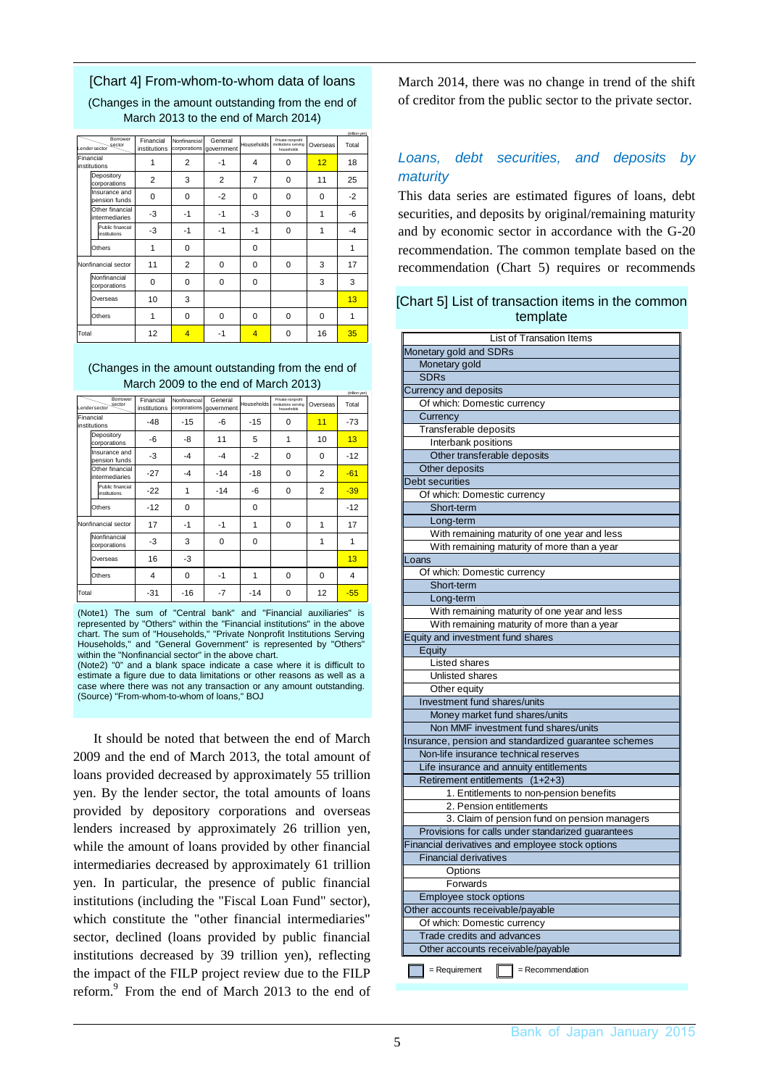#### [Chart 4] From-whom-to-whom data of loans

(Changes in the amount outstanding from the end of March 2013 to the end of March 2014)

(trillion yen)

|       | Borrower<br>sector<br>Lendersector | Financial<br>institutions | Nonfinancial<br>corporations | General<br>government | Households     | Private nonprofit<br>institutions serving<br>households | Overseas | Total |
|-------|------------------------------------|---------------------------|------------------------------|-----------------------|----------------|---------------------------------------------------------|----------|-------|
|       | Financial<br>institutions          | 1                         | 2                            | -1                    | 4              | 0                                                       | 12       | 18    |
|       | Depository<br>corporations         | $\overline{2}$            | 3                            | 2                     | $\overline{7}$ | 0                                                       | 11       | 25    |
|       | Insurance and<br>pension funds     | 0                         | $\Omega$                     | $-2$                  | 0              | 0                                                       | 0        | $-2$  |
|       | Other financial<br>intermediaries  | -3                        | $-1$                         | $-1$                  | -3             | 0                                                       | 1        | $-6$  |
|       | Public financial<br>institutions   | -3                        | $-1$                         | $-1$                  | $-1$           | $\Omega$                                                | 1        | $-4$  |
|       | Others                             | 1                         | $\Omega$                     |                       | 0              |                                                         |          |       |
|       | Nonfinancial sector                | 11                        | 2                            | $\Omega$              | 0              | $\Omega$                                                | 3        | 17    |
|       | Nonfinancial<br>corporations       | 0                         | $\Omega$                     | 0                     | 0              |                                                         | 3        | 3     |
|       | Overseas                           | 10                        | 3                            |                       |                |                                                         |          | 13    |
|       | Others                             | 1                         | $\Omega$                     | $\Omega$              | 0              | $\Omega$                                                | 0        | 1     |
| Total |                                    | 12                        | $\overline{4}$               | -1                    | $\overline{4}$ | $\Omega$                                                | 16       | 35    |

#### (Changes in the amount outstanding from the end of March 2009 to the end of March 2013)

|       |                                          |                           |              |                                    |            |                                                         |                | (trillion yen) |
|-------|------------------------------------------|---------------------------|--------------|------------------------------------|------------|---------------------------------------------------------|----------------|----------------|
|       | Borrower<br>sector<br>Lendersector       | Financial<br>institutions | Nonfinancial | General<br>corporations government | Households | Private nonprofit<br>institutions serving<br>households | Overseas       | Total          |
|       | Financial<br>institutions                | $-48$                     | $-15$        | -6                                 | $-15$      | $\Omega$                                                | 11             | $-73$          |
|       | Depository<br>corporations               | -6                        | -8           | 11                                 | 5          | 1                                                       | 10             | 13             |
|       | Insurance and<br>pension funds           | -3                        | $-4$         | $-4$                               | $-2$       | $\Omega$                                                | $\Omega$       | $-12$          |
|       | Other financial<br><i>intermediaries</i> | $-27$                     | $-4$         | $-14$                              | $-18$      | $\Omega$                                                | $\overline{2}$ | $-61$          |
|       | Public financial<br>institutions         | $-22$                     | 1            | $-14$                              | -6         | $\Omega$                                                | $\overline{2}$ | $-39$          |
|       | Others                                   | $-12$                     | $\Omega$     |                                    | 0          |                                                         |                | $-12$          |
|       | Nonfinancial sector                      | 17                        | -1           | $-1$                               | 1          | $\Omega$                                                | 1              | 17             |
|       | Nonfinancial<br>corporations             | -3                        | 3            | $\Omega$                           | $\Omega$   |                                                         | 1              | 1              |
|       | Overseas                                 | 16                        | -3           |                                    |            |                                                         |                | 13             |
|       | Others                                   | 4                         | 0            | $-1$                               | 1          | $\Omega$                                                | 0              | 4              |
| Total |                                          | $-31$                     | $-16$        | -7                                 | $-14$      | 0                                                       | 12             | $-55$          |

(Note1) The sum of "Central bank" and "Financial auxiliaries" is represented by "Others" within the "Financial institutions" in the above chart. The sum of "Households," "Private Nonprofit Institutions Serving Households," and "General Government" is represented by "Others" within the "Nonfinancial sector" in the above chart.

(Note2) "0" and a blank space indicate a case where it is difficult to estimate a figure due to data limitations or other reasons as well as a case where there was not any transaction or any amount outstanding. (Source) "From-whom-to-whom of loans," BOJ

It should be noted that between the end of March 2009 and the end of March 2013, the total amount of loans provided decreased by approximately 55 trillion yen. By the lender sector, the total amounts of loans provided by depository corporations and overseas lenders increased by approximately 26 trillion yen, while the amount of loans provided by other financial intermediaries decreased by approximately 61 trillion yen. In particular, the presence of public financial institutions (including the "Fiscal Loan Fund" sector), which constitute the "other financial intermediaries" sector, declined (loans provided by public financial institutions decreased by 39 trillion yen), reflecting the impact of the FILP project review due to the FILP reform.<sup>9</sup> From the end of March 2013 to the end of March 2014, there was no change in trend of the shift of creditor from the public sector to the private sector.

### *Loans, debt securities, and deposits by maturity*

This data series are estimated figures of loans, debt securities, and deposits by original/remaining maturity and by economic sector in accordance with the G-20 recommendation. The common template based on the recommendation (Chart 5) requires or recommends

#### [Chart 5] List of transaction items in the common template

| List of Transation Items                                     |
|--------------------------------------------------------------|
| Monetary gold and SDRs                                       |
| Monetary gold                                                |
| <b>SDRs</b>                                                  |
| Currency and deposits                                        |
| Of which: Domestic currency                                  |
| Currency                                                     |
| Transferable deposits                                        |
| Interbank positions                                          |
| Other transferable deposits                                  |
| Other deposits                                               |
| Debt securities                                              |
| Of which: Domestic currency                                  |
| Short-term                                                   |
| Long-term                                                    |
| With remaining maturity of one year and less                 |
| With remaining maturity of more than a year                  |
| Loans                                                        |
| Of which: Domestic currency                                  |
| Short-term                                                   |
| Long-term                                                    |
| With remaining maturity of one year and less                 |
| With remaining maturity of more than a year                  |
| Equity and investment fund shares                            |
| Equity                                                       |
| Listed shares                                                |
| Unlisted shares                                              |
| Other equity                                                 |
| Investment fund shares/units                                 |
| Money market fund shares/units                               |
| Non MMF investment fund shares/units                         |
| Insurance, pension and standardized guarantee schemes        |
| Non-life insurance technical reserves                        |
| Life insurance and annuity entitlements                      |
| Retirement entitlements (1+2+3)                              |
| 1. Entitlements to non-pension benefits                      |
| 2. Pension entitlements                                      |
| 3. Claim of pension fund on pension managers                 |
| Provisions for calls under standarized guarantees            |
| Financial derivatives and employee stock options             |
| <b>Financial derivatives</b>                                 |
| Options                                                      |
| Forwards                                                     |
| Employee stock options                                       |
| Other accounts receivable/payable                            |
| Of which: Domestic currency                                  |
| Trade credits and advances                                   |
| Other accounts receivable/payable                            |
|                                                              |
| $\parallel$ = Requirement<br>$\blacksquare$ = Recommendation |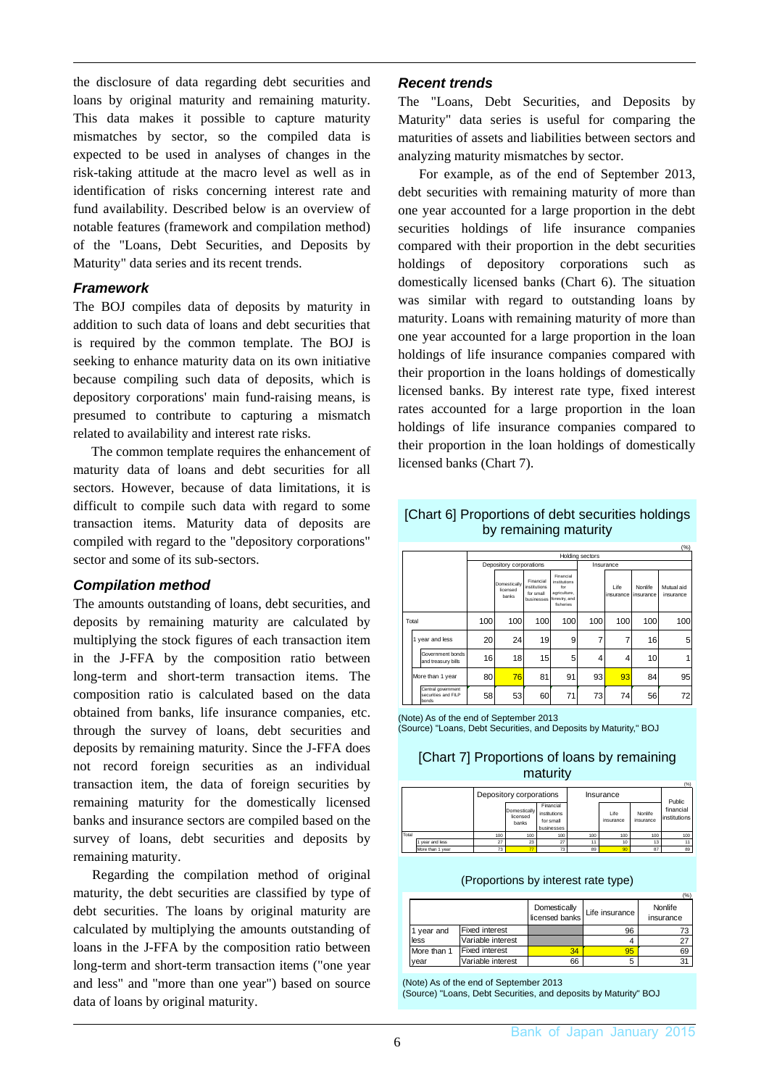the disclosure of data regarding debt securities and loans by original maturity and remaining maturity. This data makes it possible to capture maturity mismatches by sector, so the compiled data is expected to be used in analyses of changes in the risk-taking attitude at the macro level as well as in identification of risks concerning interest rate and fund availability. Described below is an overview of notable features (framework and compilation method) of the "Loans, Debt Securities, and Deposits by Maturity" data series and its recent trends.

### *Framework*

The BOJ compiles data of deposits by maturity in addition to such data of loans and debt securities that is required by the common template. The BOJ is seeking to enhance maturity data on its own initiative because compiling such data of deposits, which is depository corporations' main fund-raising means, is presumed to contribute to capturing a mismatch related to availability and interest rate risks.

The common template requires the enhancement of maturity data of loans and debt securities for all sectors. However, because of data limitations, it is difficult to compile such data with regard to some transaction items. Maturity data of deposits are compiled with regard to the "depository corporations" sector and some of its sub-sectors.

### *Compilation method*

The amounts outstanding of loans, debt securities, and deposits by remaining maturity are calculated by multiplying the stock figures of each transaction item in the J-FFA by the composition ratio between long-term and short-term transaction items. The composition ratio is calculated based on the data obtained from banks, life insurance companies, etc. through the survey of loans, debt securities and deposits by remaining maturity. Since the J-FFA does not record foreign securities as an individual transaction item, the data of foreign securities by remaining maturity for the domestically licensed banks and insurance sectors are compiled based on the survey of loans, debt securities and deposits by remaining maturity.

Regarding the compilation method of original maturity, the debt securities are classified by type of debt securities. The loans by original maturity are calculated by multiplying the amounts outstanding of loans in the J-FFA by the composition ratio between long-term and short-term transaction items ("one year and less" and "more than one year") based on source data of loans by original maturity.

### *Recent trends*

The "Loans, Debt Securities, and Deposits by Maturity" data series is useful for comparing the maturities of assets and liabilities between sectors and analyzing maturity mismatches by sector.

For example, as of the end of September 2013, debt securities with remaining maturity of more than one year accounted for a large proportion in the debt securities holdings of life insurance companies compared with their proportion in the debt securities holdings of depository corporations such as domestically licensed banks (Chart 6). The situation was similar with regard to outstanding loans by maturity. Loans with remaining maturity of more than one year accounted for a large proportion in the loan holdings of life insurance companies compared with their proportion in the loans holdings of domestically licensed banks. By interest rate type, fixed interest rates accounted for a large proportion in the loan holdings of life insurance companies compared to their proportion in the loan holdings of domestically licensed banks (Chart 7).

### [Chart 6] Proportions of debt securities holdings by remaining maturity

|                            |                                                    |     |                                   |                                                      |                                                                                |                        |                   |                      | (%)                     |  |  |
|----------------------------|----------------------------------------------------|-----|-----------------------------------|------------------------------------------------------|--------------------------------------------------------------------------------|------------------------|-------------------|----------------------|-------------------------|--|--|
|                            |                                                    |     |                                   |                                                      |                                                                                | <b>Holding sectors</b> |                   |                      |                         |  |  |
|                            |                                                    |     | Depository corporations           |                                                      |                                                                                |                        | Insurance         |                      |                         |  |  |
|                            |                                                    |     | Domestically<br>licensed<br>hanks | Financial<br>institutions<br>for small<br>businesses | Financial<br>institutions<br>for<br>agriculture,<br>forestry, and<br>fisheries |                        | Life<br>insurance | Nonlife<br>insurance | Mutual aid<br>insurance |  |  |
| 100<br>100<br>100<br>Total |                                                    | 100 | 100                               | 100                                                  | 100                                                                            | 100                    |                   |                      |                         |  |  |
|                            | 1 year and less                                    | 20  | 24                                | 19                                                   | 9                                                                              | 7                      | 7                 | 16                   | 5                       |  |  |
|                            | Government bonds<br>and treasury bills             | 16  | 18                                | 15                                                   | 5                                                                              | 4                      | 4                 | 10                   |                         |  |  |
|                            | More than 1 year                                   | 80  | 76                                | 81                                                   | 91                                                                             | 93                     | 93                | 84                   | 95                      |  |  |
|                            | Central government<br>securities and FILP<br>bonds | 58  | 53                                | 60                                                   | 71                                                                             | 73                     | 74                | 56                   | 72                      |  |  |

#### (Note) As of the end of September 2013

(Source) "Loans, Debt Securities, and Deposits by Maturity," BOJ

### [Chart 7] Proportions of loans by remaining maturity

|       |                  |     | Depository corporations           |                                                      |     | Insurance         |                      |                                     |  |
|-------|------------------|-----|-----------------------------------|------------------------------------------------------|-----|-------------------|----------------------|-------------------------------------|--|
|       |                  |     | Domestically<br>licensed<br>banks | Financial<br>institutions<br>for small<br>businesses |     | Life<br>insurance | Nonlife<br>insurance | Public<br>financial<br>institutions |  |
| Total |                  | 100 | 100                               | 100                                                  | 100 | 100               | 100                  | 100                                 |  |
|       | vear and less    | 27  | 23                                | 27                                                   | 11  | 10                | 13                   |                                     |  |
|       | More than 1 year | 73  |                                   | 73                                                   | 89  |                   | 87                   | 89                                  |  |

(Proportions by interest rate type)

|             |                       | Domestically<br>licensed banks | Life insurance! | (%)<br>Nonlife<br>insurance |
|-------------|-----------------------|--------------------------------|-----------------|-----------------------------|
| 1 year and  | <b>Fixed interest</b> |                                | 96              | 73                          |
| less        | Variable interest     |                                |                 | 27                          |
| More than 1 | <b>Fixed interest</b> | 34                             | 95              | 69                          |
| year        | Variable interest     | 66                             | 5               | 31                          |

(Note) As of the end of September 2013 (Source) "Loans, Debt Securities, and deposits by Maturity" BOJ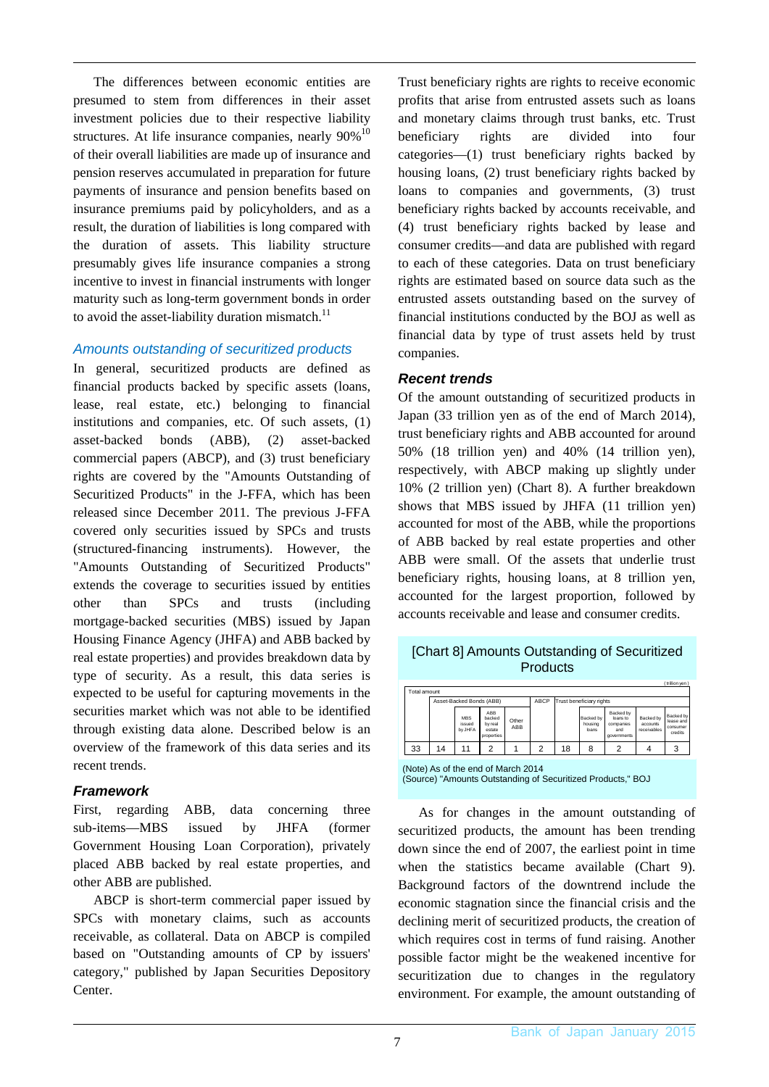The differences between economic entities are presumed to stem from differences in their asset investment policies due to their respective liability structures. At life insurance companies, nearly  $90\%$ <sup>10</sup> of their overall liabilities are made up of insurance and pension reserves accumulated in preparation for future payments of insurance and pension benefits based on insurance premiums paid by policyholders, and as a result, the duration of liabilities is long compared with the duration of assets. This liability structure presumably gives life insurance companies a strong incentive to invest in financial instruments with longer maturity such as long-term government bonds in order to avoid the asset-liability duration mismatch. $^{11}$ 

### *Amounts outstanding of securitized products*

In general, securitized products are defined as financial products backed by specific assets (loans, lease, real estate, etc.) belonging to financial institutions and companies, etc. Of such assets, (1) asset-backed bonds (ABB), (2) asset-backed commercial papers (ABCP), and (3) trust beneficiary rights are covered by the "Amounts Outstanding of Securitized Products" in the J-FFA, which has been released since December 2011. The previous J-FFA covered only securities issued by SPCs and trusts (structured-financing instruments). However, the "Amounts Outstanding of Securitized Products" extends the coverage to securities issued by entities other than SPCs and trusts (including mortgage-backed securities (MBS) issued by Japan Housing Finance Agency (JHFA) and ABB backed by real estate properties) and provides breakdown data by type of security. As a result, this data series is expected to be useful for capturing movements in the securities market which was not able to be identified through existing data alone. Described below is an overview of the framework of this data series and its recent trends.

### *Framework*

First, regarding ABB, data concerning three sub-items—MBS issued by JHFA (former Government Housing Loan Corporation), privately placed ABB backed by real estate properties, and other ABB are published.

ABCP is short-term commercial paper issued by SPCs with monetary claims, such as accounts receivable, as collateral. Data on ABCP is compiled based on "Outstanding amounts of CP by issuers' category," published by Japan Securities Depository Center.

Trust beneficiary rights are rights to receive economic profits that arise from entrusted assets such as loans and monetary claims through trust banks, etc. Trust beneficiary rights are divided into four categories—(1) trust beneficiary rights backed by housing loans, (2) trust beneficiary rights backed by loans to companies and governments, (3) trust beneficiary rights backed by accounts receivable, and (4) trust beneficiary rights backed by lease and consumer credits—and data are published with regard to each of these categories. Data on trust beneficiary rights are estimated based on source data such as the entrusted assets outstanding based on the survey of financial institutions conducted by the BOJ as well as financial data by type of trust assets held by trust companies.

### *Recent trends*

Of the amount outstanding of securitized products in Japan (33 trillion yen as of the end of March 2014), trust beneficiary rights and ABB accounted for around 50% (18 trillion yen) and 40% (14 trillion yen), respectively, with ABCP making up slightly under 10% (2 trillion yen) (Chart 8). A further breakdown shows that MBS issued by JHFA (11 trillion yen) accounted for most of the ABB, while the proportions of ABB backed by real estate properties and other ABB were small. Of the assets that underlie trust beneficiary rights, housing loans, at 8 trillion yen, accounted for the largest proportion, followed by accounts receivable and lease and consumer credits.

| Total amount |    |                                 |                                                  |              |      |    |                               |                                                          |                                      | trilion yen)                                  |
|--------------|----|---------------------------------|--------------------------------------------------|--------------|------|----|-------------------------------|----------------------------------------------------------|--------------------------------------|-----------------------------------------------|
|              |    | Asset-Backed Bonds (ABB)        |                                                  |              | ABCP |    | Trust beneficiary rights      |                                                          |                                      |                                               |
|              |    | <b>MRS</b><br>issued<br>by JHFA | ABB<br>backed<br>by real<br>estate<br>properties | Other<br>ABB |      |    | Backed by<br>housing<br>lnans | Backed by<br>loans to<br>companies<br>and<br>governments | Backed by<br>accounts<br>receivables | Backed by<br>lease and<br>consumer<br>credits |
| 33           | 14 | 11                              | ົ                                                |              | 2    | 18 | 8                             | っ                                                        |                                      | 3                                             |

[Chart 8] Amounts Outstanding of Securitized Products

(Note) As of the end of March 2014 (Source) "Amounts Outstanding of Securitized Products," BOJ

As for changes in the amount outstanding of securitized products, the amount has been trending down since the end of 2007, the earliest point in time when the statistics became available (Chart 9). Background factors of the downtrend include the economic stagnation since the financial crisis and the declining merit of securitized products, the creation of which requires cost in terms of fund raising. Another possible factor might be the weakened incentive for securitization due to changes in the regulatory environment. For example, the amount outstanding of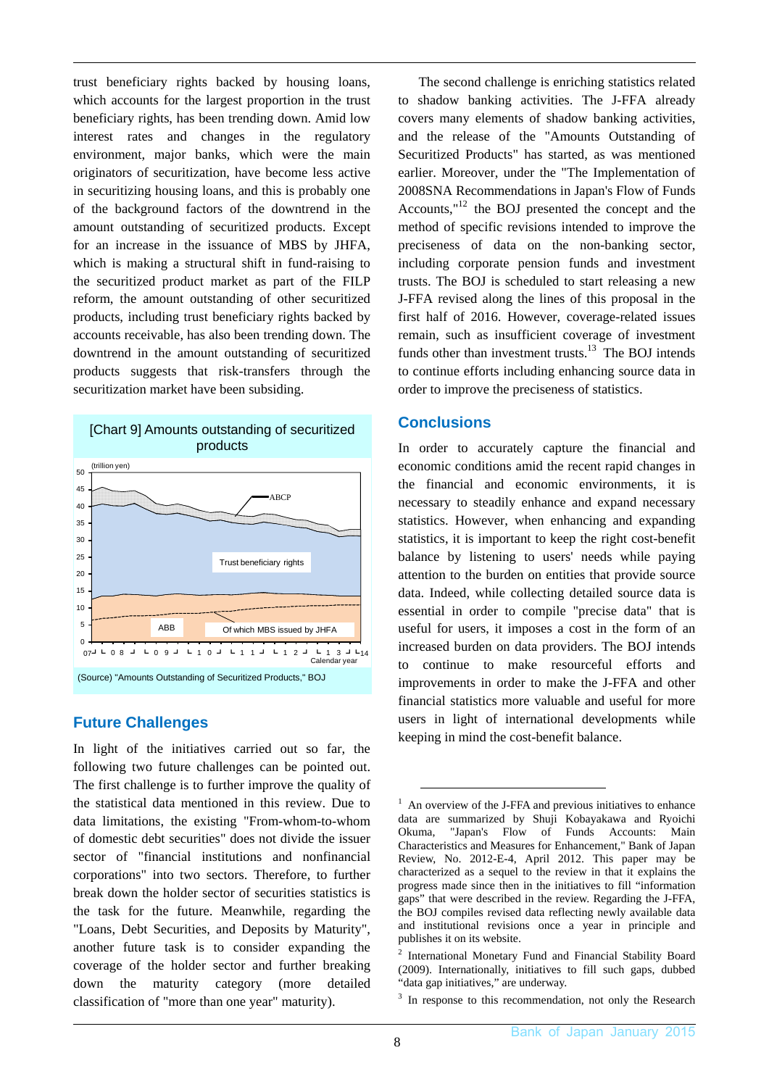trust beneficiary rights backed by housing loans, which accounts for the largest proportion in the trust beneficiary rights, has been trending down. Amid low interest rates and changes in the regulatory environment, major banks, which were the main originators of securitization, have become less active in securitizing housing loans, and this is probably one of the background factors of the downtrend in the amount outstanding of securitized products. Except for an increase in the issuance of MBS by JHFA, which is making a structural shift in fund-raising to the securitized product market as part of the FILP reform, the amount outstanding of other securitized products, including trust beneficiary rights backed by accounts receivable, has also been trending down. The downtrend in the amount outstanding of securitized products suggests that risk-transfers through the securitization market have been subsiding.



## **Future Challenges**

In light of the initiatives carried out so far, the following two future challenges can be pointed out. The first challenge is to further improve the quality of the statistical data mentioned in this review. Due to data limitations, the existing "From-whom-to-whom of domestic debt securities" does not divide the issuer sector of "financial institutions and nonfinancial corporations" into two sectors. Therefore, to further break down the holder sector of securities statistics is the task for the future. Meanwhile, regarding the "Loans, Debt Securities, and Deposits by Maturity", another future task is to consider expanding the coverage of the holder sector and further breaking down the maturity category (more detailed classification of "more than one year" maturity).

The second challenge is enriching statistics related to shadow banking activities. The J-FFA already covers many elements of shadow banking activities, and the release of the "Amounts Outstanding of Securitized Products" has started, as was mentioned earlier. Moreover, under the "The Implementation of 2008SNA Recommendations in Japan's Flow of Funds Accounts, $"12$  the BOJ presented the concept and the method of specific revisions intended to improve the preciseness of data on the non-banking sector, including corporate pension funds and investment trusts. The BOJ is scheduled to start releasing a new J-FFA revised along the lines of this proposal in the first half of 2016. However, coverage-related issues remain, such as insufficient coverage of investment funds other than investment trusts. $13$  The BOJ intends to continue efforts including enhancing source data in order to improve the preciseness of statistics.

## **Conclusions**

In order to accurately capture the financial and economic conditions amid the recent rapid changes in the financial and economic environments, it is necessary to steadily enhance and expand necessary statistics. However, when enhancing and expanding statistics, it is important to keep the right cost-benefit balance by listening to users' needs while paying attention to the burden on entities that provide source data. Indeed, while collecting detailed source data is essential in order to compile "precise data" that is useful for users, it imposes a cost in the form of an increased burden on data providers. The BOJ intends to continue to make resourceful efforts and improvements in order to make the J-FFA and other financial statistics more valuable and useful for more users in light of international developments while keeping in mind the cost-benefit balance.

<sup>&</sup>lt;sup>1</sup> An overview of the J-FFA and previous initiatives to enhance data are summarized by Shuji Kobayakawa and Ryoichi Okuma, "Japan's Flow of Funds Accounts: Main Characteristics and Measures for Enhancement," Bank of Japan Review, No. 2012-E-4, April 2012. This paper may be characterized as a sequel to the review in that it explains the progress made since then in the initiatives to fill "information gaps" that were described in the review. Regarding the J-FFA, the BOJ compiles revised data reflecting newly available data and institutional revisions once a year in principle and publishes it on its website.

<sup>&</sup>lt;sup>2</sup> International Monetary Fund and Financial Stability Board (2009). Internationally, initiatives to fill such gaps, dubbed "data gap initiatives," are underway.

<sup>&</sup>lt;sup>3</sup> In response to this recommendation, not only the Research